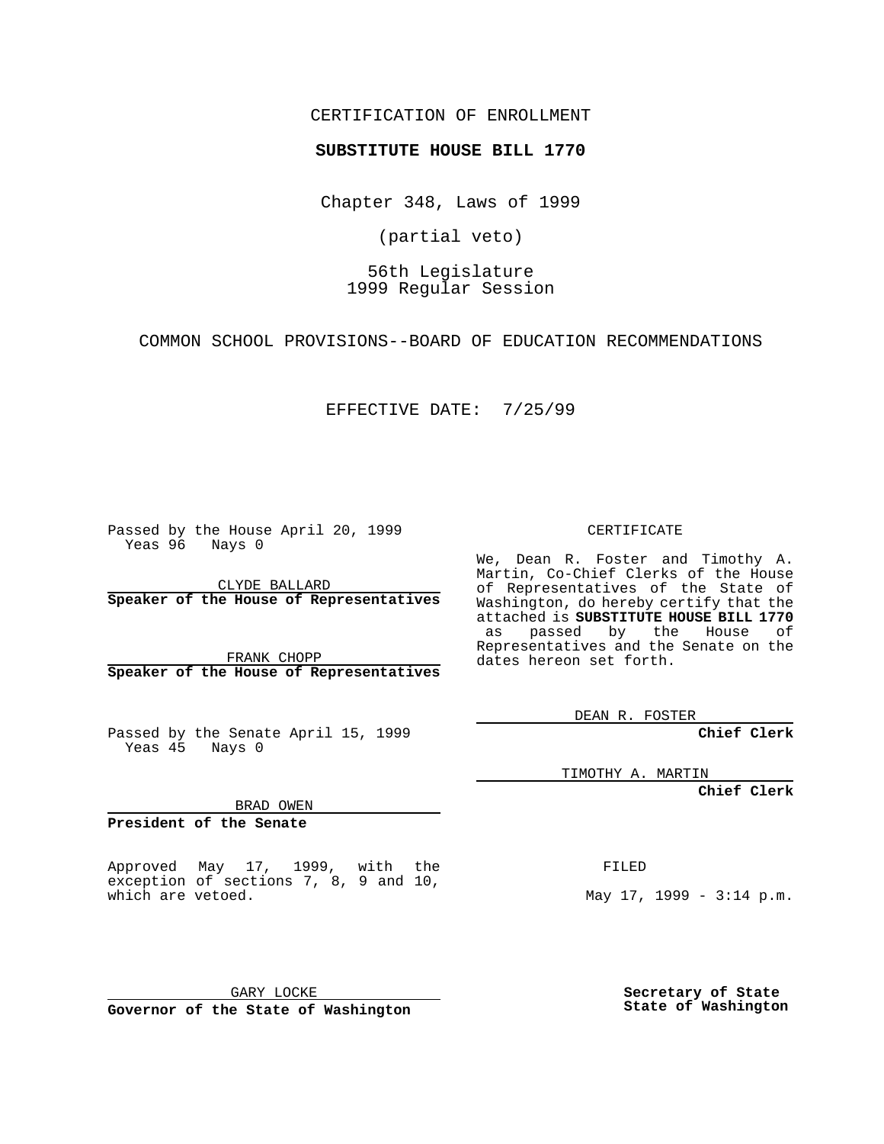### CERTIFICATION OF ENROLLMENT

# **SUBSTITUTE HOUSE BILL 1770**

Chapter 348, Laws of 1999

(partial veto)

56th Legislature 1999 Regular Session

COMMON SCHOOL PROVISIONS--BOARD OF EDUCATION RECOMMENDATIONS

EFFECTIVE DATE: 7/25/99

Passed by the House April 20, 1999 Yeas 96 Nays 0

CLYDE BALLARD **Speaker of the House of Representatives**

FRANK CHOPP **Speaker of the House of Representatives**

Passed by the Senate April 15, 1999 Yeas 45 Nays 0

CERTIFICATE

We, Dean R. Foster and Timothy A. Martin, Co-Chief Clerks of the House of Representatives of the State of Washington, do hereby certify that the attached is **SUBSTITUTE HOUSE BILL 1770** as passed by the House of Representatives and the Senate on the dates hereon set forth.

DEAN R. FOSTER

**Chief Clerk**

TIMOTHY A. MARTIN

FILED

**Chief Clerk**

BRAD OWEN

**President of the Senate**

Approved May 17, 1999, with the exception of sections 7, 8, 9 and 10, which are vetoed.

**Secretary of State**

May 17, 1999 - 3:14 p.m.

**State of Washington**

GARY LOCKE **Governor of the State of Washington**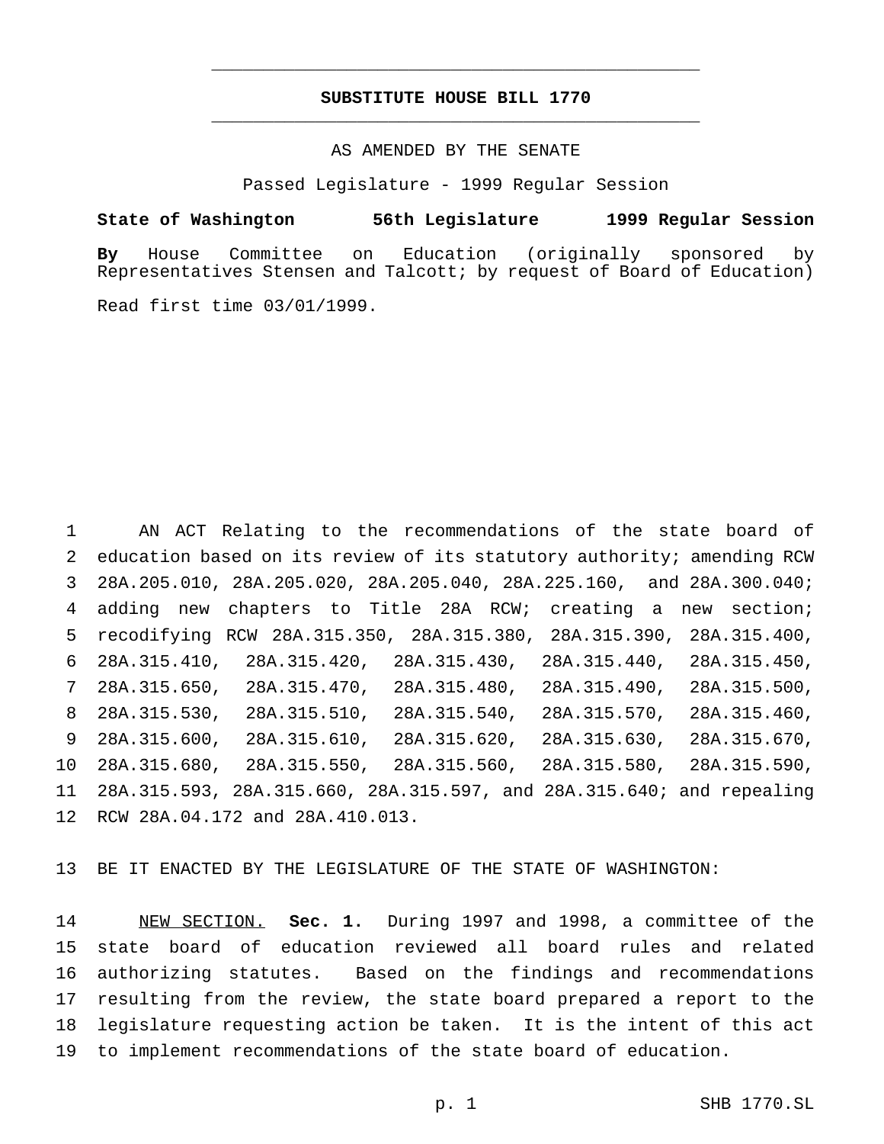## **SUBSTITUTE HOUSE BILL 1770** \_\_\_\_\_\_\_\_\_\_\_\_\_\_\_\_\_\_\_\_\_\_\_\_\_\_\_\_\_\_\_\_\_\_\_\_\_\_\_\_\_\_\_\_\_\_\_

\_\_\_\_\_\_\_\_\_\_\_\_\_\_\_\_\_\_\_\_\_\_\_\_\_\_\_\_\_\_\_\_\_\_\_\_\_\_\_\_\_\_\_\_\_\_\_

### AS AMENDED BY THE SENATE

Passed Legislature - 1999 Regular Session

#### **State of Washington 56th Legislature 1999 Regular Session**

**By** House Committee on Education (originally sponsored by Representatives Stensen and Talcott; by request of Board of Education)

Read first time 03/01/1999.

 AN ACT Relating to the recommendations of the state board of education based on its review of its statutory authority; amending RCW 28A.205.010, 28A.205.020, 28A.205.040, 28A.225.160, and 28A.300.040; adding new chapters to Title 28A RCW; creating a new section; recodifying RCW 28A.315.350, 28A.315.380, 28A.315.390, 28A.315.400, 28A.315.410, 28A.315.420, 28A.315.430, 28A.315.440, 28A.315.450, 28A.315.650, 28A.315.470, 28A.315.480, 28A.315.490, 28A.315.500, 28A.315.530, 28A.315.510, 28A.315.540, 28A.315.570, 28A.315.460, 28A.315.600, 28A.315.610, 28A.315.620, 28A.315.630, 28A.315.670, 28A.315.680, 28A.315.550, 28A.315.560, 28A.315.580, 28A.315.590, 28A.315.593, 28A.315.660, 28A.315.597, and 28A.315.640; and repealing RCW 28A.04.172 and 28A.410.013.

BE IT ENACTED BY THE LEGISLATURE OF THE STATE OF WASHINGTON:

 NEW SECTION. **Sec. 1.** During 1997 and 1998, a committee of the state board of education reviewed all board rules and related authorizing statutes. Based on the findings and recommendations resulting from the review, the state board prepared a report to the legislature requesting action be taken. It is the intent of this act to implement recommendations of the state board of education.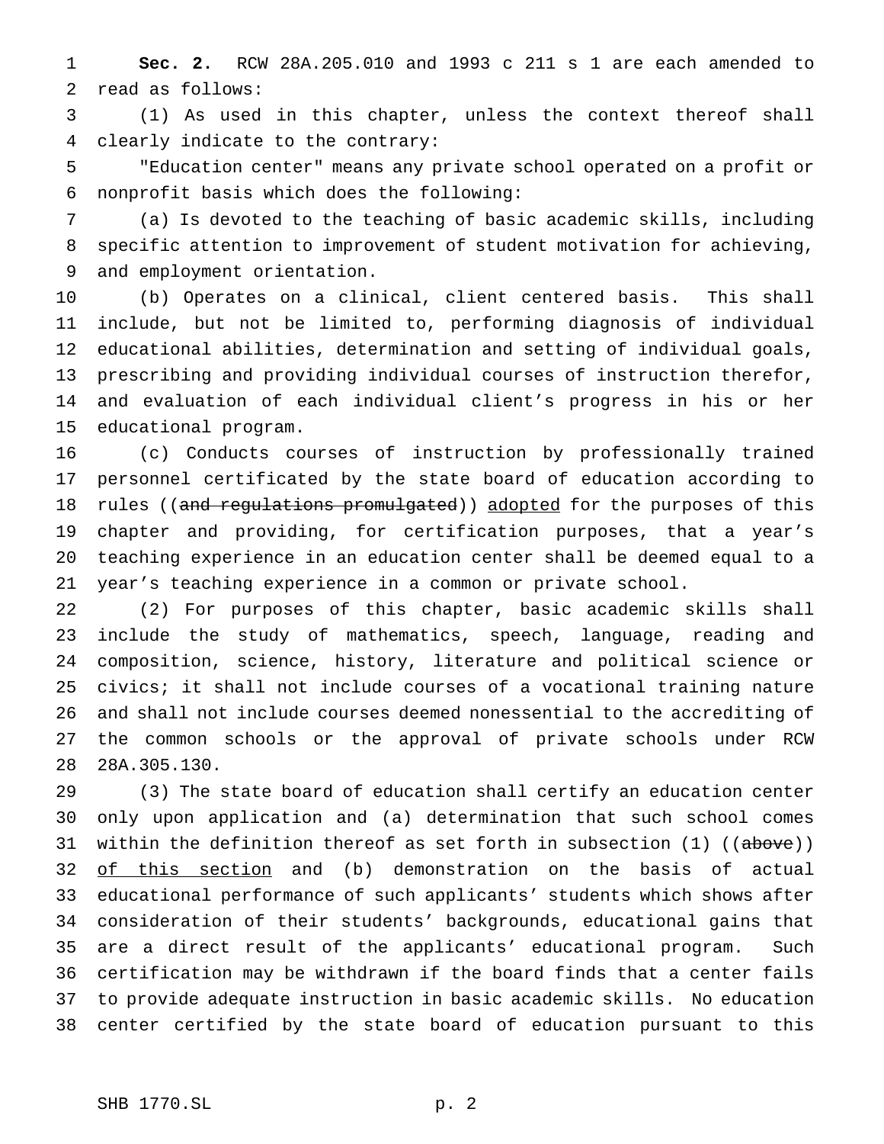**Sec. 2.** RCW 28A.205.010 and 1993 c 211 s 1 are each amended to read as follows:

 (1) As used in this chapter, unless the context thereof shall clearly indicate to the contrary:

 "Education center" means any private school operated on a profit or nonprofit basis which does the following:

 (a) Is devoted to the teaching of basic academic skills, including specific attention to improvement of student motivation for achieving, and employment orientation.

 (b) Operates on a clinical, client centered basis. This shall include, but not be limited to, performing diagnosis of individual educational abilities, determination and setting of individual goals, prescribing and providing individual courses of instruction therefor, and evaluation of each individual client's progress in his or her educational program.

 (c) Conducts courses of instruction by professionally trained personnel certificated by the state board of education according to 18 rules ((and regulations promulgated)) adopted for the purposes of this chapter and providing, for certification purposes, that a year's teaching experience in an education center shall be deemed equal to a year's teaching experience in a common or private school.

 (2) For purposes of this chapter, basic academic skills shall include the study of mathematics, speech, language, reading and composition, science, history, literature and political science or civics; it shall not include courses of a vocational training nature and shall not include courses deemed nonessential to the accrediting of the common schools or the approval of private schools under RCW 28A.305.130.

 (3) The state board of education shall certify an education center only upon application and (a) determination that such school comes 31 within the definition thereof as set forth in subsection (1) ((above)) 32 of this section and (b) demonstration on the basis of actual educational performance of such applicants' students which shows after consideration of their students' backgrounds, educational gains that are a direct result of the applicants' educational program. Such certification may be withdrawn if the board finds that a center fails to provide adequate instruction in basic academic skills. No education center certified by the state board of education pursuant to this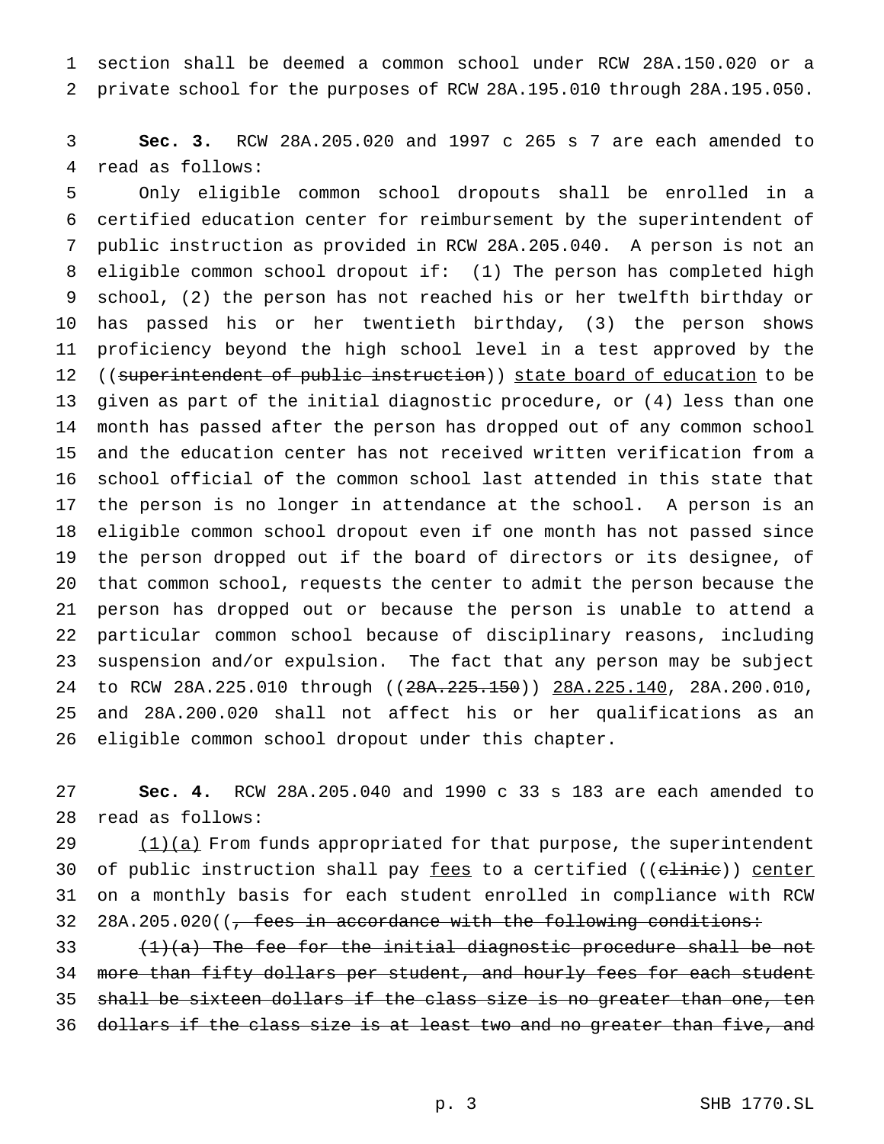section shall be deemed a common school under RCW 28A.150.020 or a private school for the purposes of RCW 28A.195.010 through 28A.195.050.

 **Sec. 3.** RCW 28A.205.020 and 1997 c 265 s 7 are each amended to read as follows:

 Only eligible common school dropouts shall be enrolled in a certified education center for reimbursement by the superintendent of public instruction as provided in RCW 28A.205.040. A person is not an eligible common school dropout if: (1) The person has completed high school, (2) the person has not reached his or her twelfth birthday or has passed his or her twentieth birthday, (3) the person shows proficiency beyond the high school level in a test approved by the 12 ((superintendent of public instruction)) state board of education to be given as part of the initial diagnostic procedure, or (4) less than one month has passed after the person has dropped out of any common school and the education center has not received written verification from a school official of the common school last attended in this state that the person is no longer in attendance at the school. A person is an eligible common school dropout even if one month has not passed since the person dropped out if the board of directors or its designee, of that common school, requests the center to admit the person because the person has dropped out or because the person is unable to attend a particular common school because of disciplinary reasons, including suspension and/or expulsion. The fact that any person may be subject 24 to RCW 28A.225.010 through ((28A.225.150)) 28A.225.140, 28A.200.010, and 28A.200.020 shall not affect his or her qualifications as an eligible common school dropout under this chapter.

 **Sec. 4.** RCW 28A.205.040 and 1990 c 33 s 183 are each amended to read as follows:

 $(1)(a)$  From funds appropriated for that purpose, the superintendent 30 of public instruction shall pay fees to a certified ((clinie)) center on a monthly basis for each student enrolled in compliance with RCW 32 28A.205.020( $\left(\frac{1}{2} + \frac{1}{2} + \frac{1}{2} + \frac{1}{2} + \frac{1}{2} + \frac{1}{2} + \frac{1}{2} + \frac{1}{2} + \frac{1}{2} + \frac{1}{2} + \frac{1}{2} + \frac{1}{2} + \frac{1}{2} + \frac{1}{2} + \frac{1}{2} + \frac{1}{2} + \frac{1}{2} + \frac{1}{2} + \frac{1}{2} + \frac{1}{2} + \frac{1}{2} + \frac{1}{2} + \frac{1}{2} + \frac{1}{2} + \frac{1}{2} + \frac{$ 

33  $(1)(a)$  The fee for the initial diagnostic procedure shall be not 34 more than fifty dollars per student, and hourly fees for each student 35 shall be sixteen dollars if the class size is no greater than one, ten dollars if the class size is at least two and no greater than five, and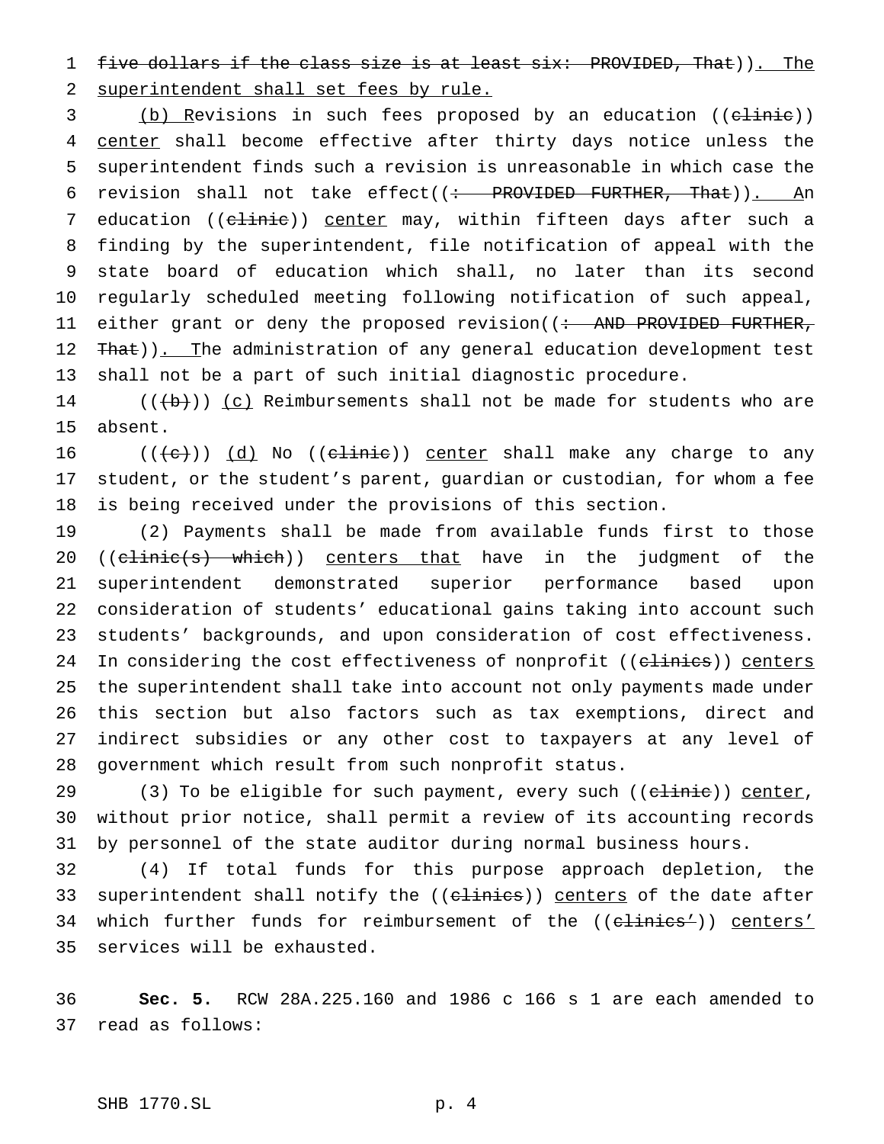five dollars if the class size is at least six: PROVIDED, That)). The superintendent shall set fees by rule.

3 (b) Revisions in such fees proposed by an education ((c<del>linic</del>)) 4 center shall become effective after thirty days notice unless the superintendent finds such a revision is unreasonable in which case the 6 revision shall not take effect( $($ : PROVIDED FURTHER, That)). An 7 education ((clinie)) center may, within fifteen days after such a finding by the superintendent, file notification of appeal with the state board of education which shall, no later than its second regularly scheduled meeting following notification of such appeal, 11 either grant or deny the proposed revision((: AND PROVIDED FURTHER, 12 That)). The administration of any general education development test shall not be a part of such initial diagnostic procedure.

 $((+b))$   $(c)$  Reimbursements shall not be made for students who are absent.

 $((e+))$  (d) No ((elinie)) center shall make any charge to any student, or the student's parent, guardian or custodian, for whom a fee is being received under the provisions of this section.

 (2) Payments shall be made from available funds first to those 20 ((clinic(s) which)) centers that have in the judgment of the superintendent demonstrated superior performance based upon consideration of students' educational gains taking into account such students' backgrounds, and upon consideration of cost effectiveness. 24 In considering the cost effectiveness of nonprofit ((elinies)) centers the superintendent shall take into account not only payments made under this section but also factors such as tax exemptions, direct and indirect subsidies or any other cost to taxpayers at any level of government which result from such nonprofit status.

29 (3) To be eligible for such payment, every such ((c<del>linic</del>)) center, without prior notice, shall permit a review of its accounting records by personnel of the state auditor during normal business hours.

 (4) If total funds for this purpose approach depletion, the 33 superintendent shall notify the ((clinics)) centers of the date after 34 which further funds for reimbursement of the ((clinics')) centers' services will be exhausted.

 **Sec. 5.** RCW 28A.225.160 and 1986 c 166 s 1 are each amended to read as follows: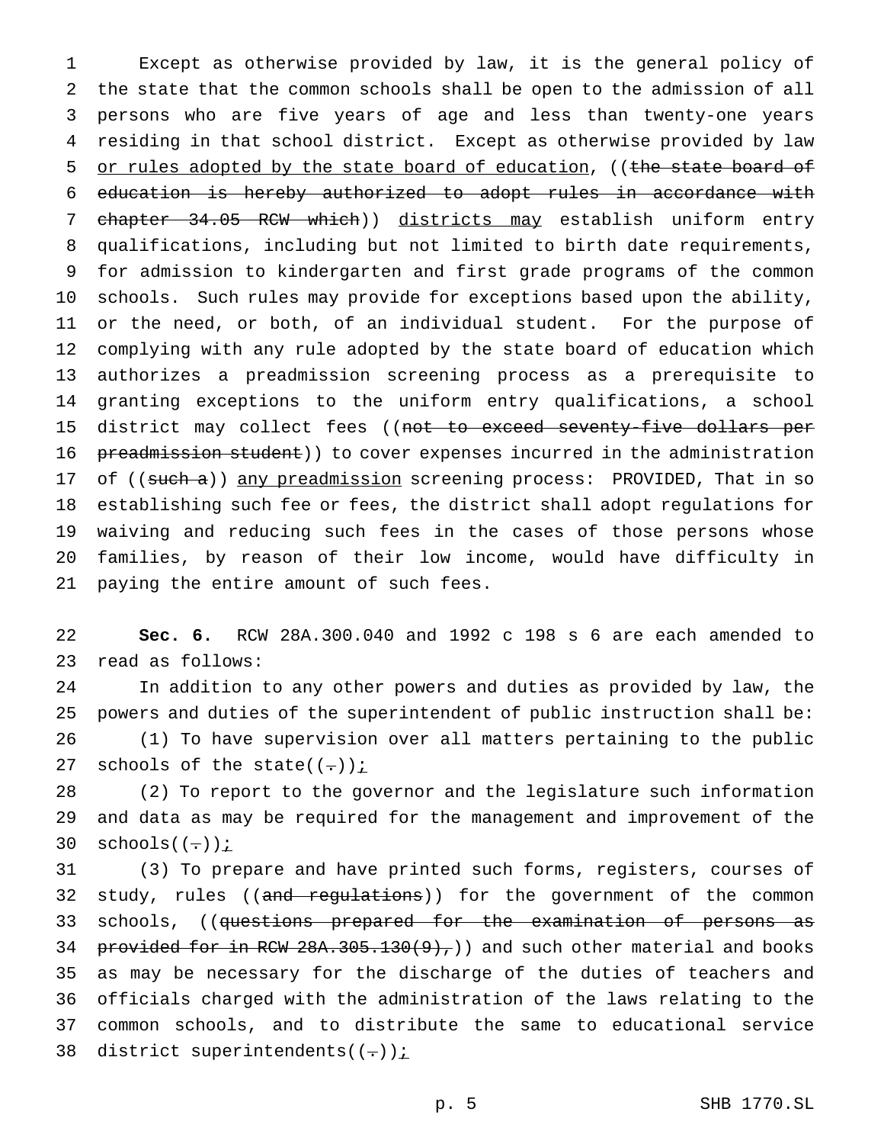Except as otherwise provided by law, it is the general policy of the state that the common schools shall be open to the admission of all persons who are five years of age and less than twenty-one years residing in that school district. Except as otherwise provided by law 5 or rules adopted by the state board of education, ((the state board of education is hereby authorized to adopt rules in accordance with 7 chapter 34.05 RCW which)) districts may establish uniform entry qualifications, including but not limited to birth date requirements, for admission to kindergarten and first grade programs of the common schools. Such rules may provide for exceptions based upon the ability, or the need, or both, of an individual student. For the purpose of complying with any rule adopted by the state board of education which authorizes a preadmission screening process as a prerequisite to granting exceptions to the uniform entry qualifications, a school 15 district may collect fees ((not to exceed seventy-five dollars per 16 preadmission student)) to cover expenses incurred in the administration 17 of ((such a)) any preadmission screening process: PROVIDED, That in so establishing such fee or fees, the district shall adopt regulations for waiving and reducing such fees in the cases of those persons whose families, by reason of their low income, would have difficulty in paying the entire amount of such fees.

 **Sec. 6.** RCW 28A.300.040 and 1992 c 198 s 6 are each amended to read as follows:

 In addition to any other powers and duties as provided by law, the powers and duties of the superintendent of public instruction shall be: (1) To have supervision over all matters pertaining to the public 27 schools of the state( $(-)$ );

 (2) To report to the governor and the legislature such information and data as may be required for the management and improvement of the 30 schools $((-))$  *i* 

 (3) To prepare and have printed such forms, registers, courses of 32 study, rules ((and regulations)) for the government of the common 33 schools, ((questions prepared for the examination of persons as 34 provided for in RCW  $28A.305.130(9)$ , and such other material and books as may be necessary for the discharge of the duties of teachers and officials charged with the administration of the laws relating to the common schools, and to distribute the same to educational service 38 district superintendents( $(-)$ )  $\frac{i}{i}$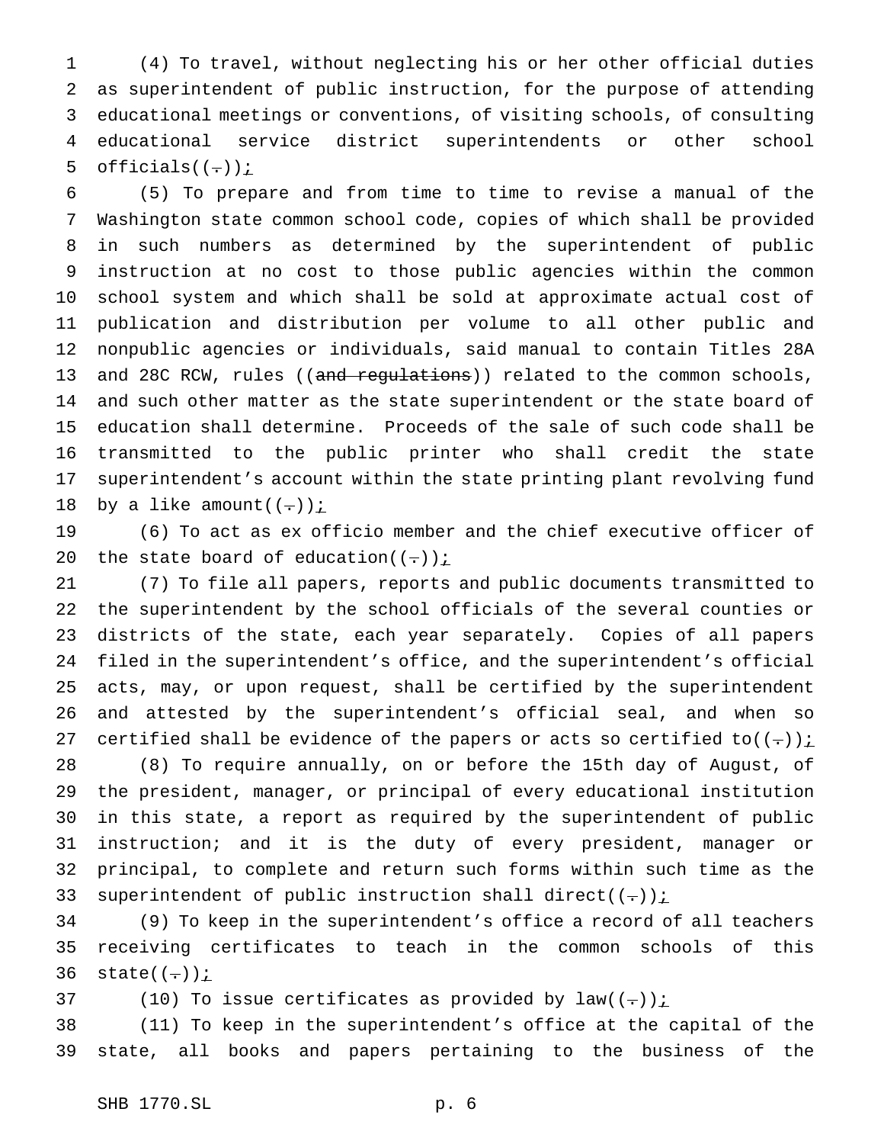(4) To travel, without neglecting his or her other official duties as superintendent of public instruction, for the purpose of attending educational meetings or conventions, of visiting schools, of consulting educational service district superintendents or other school 5 officials( $(-)$ ) $i$ 

 (5) To prepare and from time to time to revise a manual of the Washington state common school code, copies of which shall be provided in such numbers as determined by the superintendent of public instruction at no cost to those public agencies within the common school system and which shall be sold at approximate actual cost of publication and distribution per volume to all other public and nonpublic agencies or individuals, said manual to contain Titles 28A 13 and 28C RCW, rules ((and regulations)) related to the common schools, and such other matter as the state superintendent or the state board of education shall determine. Proceeds of the sale of such code shall be transmitted to the public printer who shall credit the state superintendent's account within the state printing plant revolving fund 18 by a like amount( $(-)$ );

 (6) To act as ex officio member and the chief executive officer of 20 the state board of education( $(-)$ );

 (7) To file all papers, reports and public documents transmitted to the superintendent by the school officials of the several counties or districts of the state, each year separately. Copies of all papers filed in the superintendent's office, and the superintendent's official acts, may, or upon request, shall be certified by the superintendent and attested by the superintendent's official seal, and when so 27 certified shall be evidence of the papers or acts so certified to( $(-)$ )  $\frac{1}{2}$  (8) To require annually, on or before the 15th day of August, of the president, manager, or principal of every educational institution

 in this state, a report as required by the superintendent of public instruction; and it is the duty of every president, manager or principal, to complete and return such forms within such time as the 33 superintendent of public instruction shall direct( $(-)$ )  $\leq$ 

 (9) To keep in the superintendent's office a record of all teachers receiving certificates to teach in the common schools of this  $state((-))i$ 

37 (10) To issue certificates as provided by  $law((-))$  i

 (11) To keep in the superintendent's office at the capital of the state, all books and papers pertaining to the business of the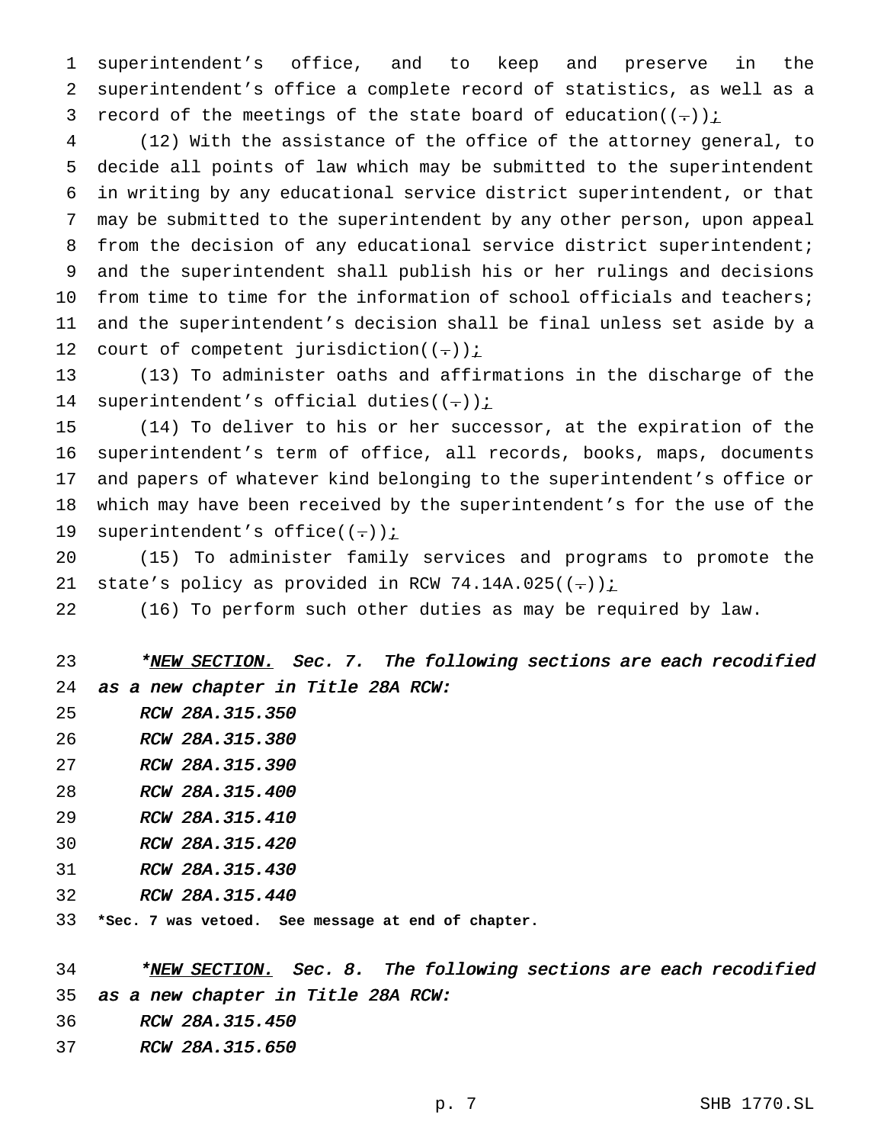superintendent's office, and to keep and preserve in the superintendent's office a complete record of statistics, as well as a 3 record of the meetings of the state board of education( $(-)$ ):

 (12) With the assistance of the office of the attorney general, to decide all points of law which may be submitted to the superintendent in writing by any educational service district superintendent, or that may be submitted to the superintendent by any other person, upon appeal 8 from the decision of any educational service district superintendent; and the superintendent shall publish his or her rulings and decisions from time to time for the information of school officials and teachers; and the superintendent's decision shall be final unless set aside by a 12 court of competent jurisdiction( $(-)$ );

 (13) To administer oaths and affirmations in the discharge of the 14 superintendent's official duties( $(-)$ );

 (14) To deliver to his or her successor, at the expiration of the superintendent's term of office, all records, books, maps, documents and papers of whatever kind belonging to the superintendent's office or which may have been received by the superintendent's for the use of the 19 superintendent's office( $(-)$ )  $\frac{i}{i}$ 

 (15) To administer family services and programs to promote the 21 state's policy as provided in RCW 74.14A.025( $(-)$ ):

(16) To perform such other duties as may be required by law.

23 \*NEW SECTION. Sec. 7. The following sections are each recodified as <sup>a</sup> new chapter in Title 28A RCW:

- RCW 28A.315.350
- RCW 28A.315.380
- RCW 28A.315.390
- RCW 28A.315.400
- RCW 28A.315.410
- RCW 28A.315.420
- RCW 28A.315.430
- RCW 28A.315.440
- **\*Sec. 7 was vetoed. See message at end of chapter.**

34 \*NEW SECTION. Sec. 8. The following sections are each recodified as <sup>a</sup> new chapter in Title 28A RCW:

- RCW 28A.315.450
- RCW 28A.315.650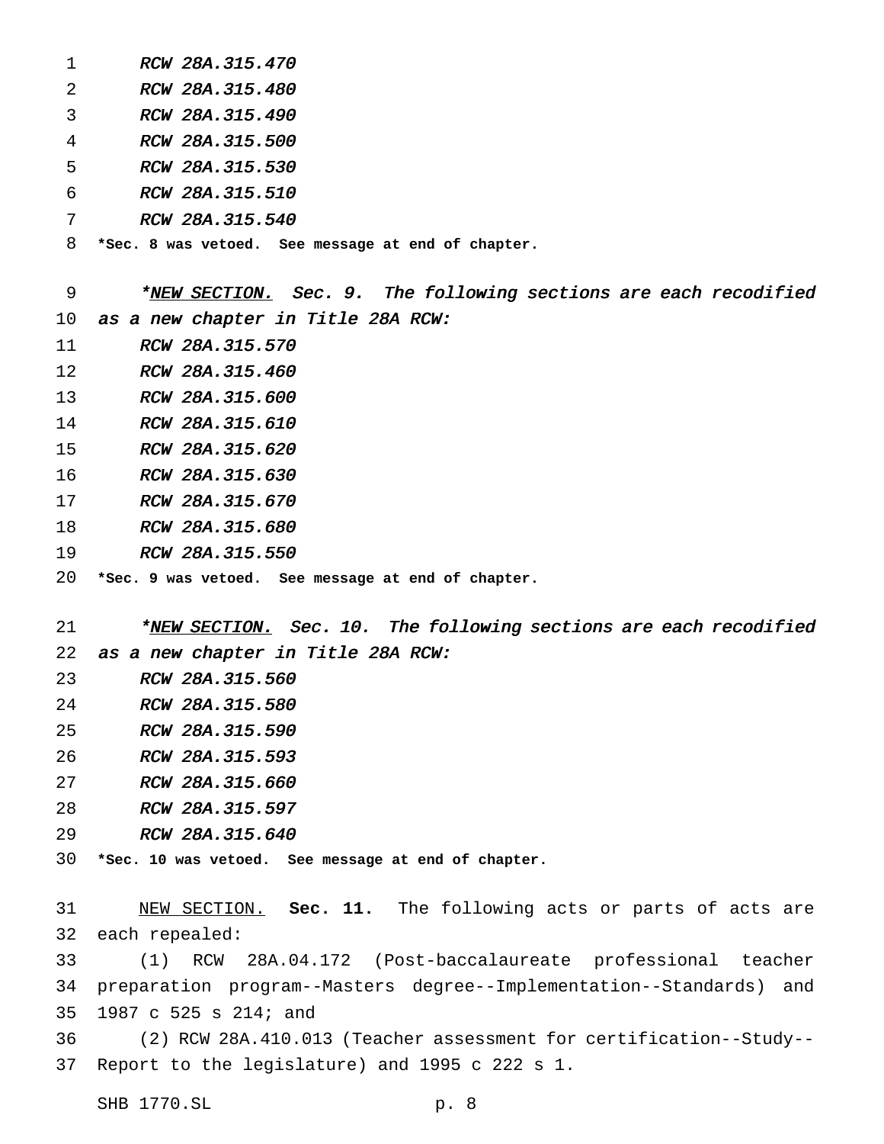|   | RCW 28A.315.470                                    |
|---|----------------------------------------------------|
| 2 | RCW 28A.315.480                                    |
| 3 | RCW 28A.315.490                                    |
| 4 | RCW 28A.315.500                                    |
| 5 | RCW 28A.315.530                                    |
| 6 | RCW 28A.315.510                                    |
| 7 | RCW 28A.315.540                                    |
| 8 | *Sec. 8 was vetoed. See message at end of chapter. |
|   |                                                    |

10 as a new chapter in Title 28A RCW: 11 RCW 28A.315.570 RCW 28A.315.460 RCW 28A.315.600 RCW 28A.315.610 RCW 28A.315.620 RCW 28A.315.630 RCW 28A.315.670 RCW 28A.315.680 RCW 28A.315.550 **\*Sec. 9 was vetoed. See message at end of chapter.** 21 \*NEW SECTION. Sec. 10. The following sections are each recodified as <sup>a</sup> new chapter in Title 28A RCW:

9 \*NEW SECTION. Sec. 9. The following sections are each recodified

- RCW 28A.315.560
- RCW 28A.315.580
- RCW 28A.315.590
- RCW 28A.315.593
- RCW 28A.315.660
- RCW 28A.315.597
- RCW 28A.315.640

**\*Sec. 10 was vetoed. See message at end of chapter.**

 NEW SECTION. **Sec. 11.** The following acts or parts of acts are each repealed:

 (1) RCW 28A.04.172 (Post-baccalaureate professional teacher preparation program--Masters degree--Implementation--Standards) and 1987 c 525 s 214; and

 (2) RCW 28A.410.013 (Teacher assessment for certification--Study-- Report to the legislature) and 1995 c 222 s 1.